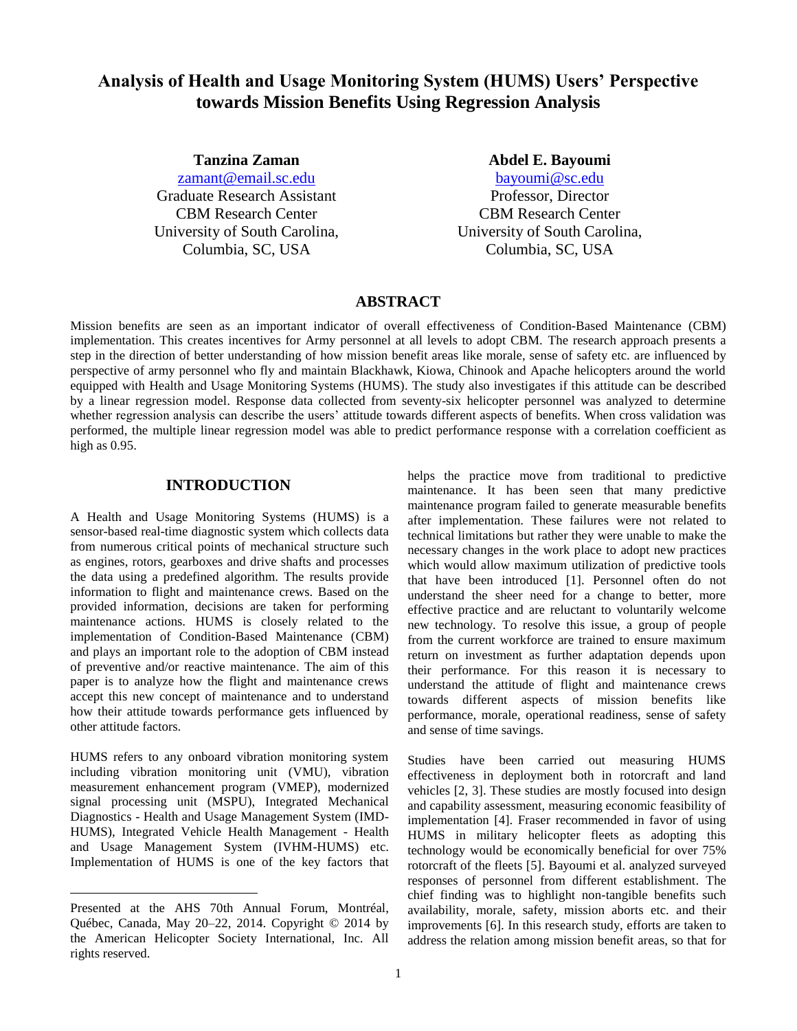# **Analysis of Health and Usage Monitoring System (HUMS) Users' Perspective towards Mission Benefits Using Regression Analysis**

**Tanzina Zaman**

[zamant@email.sc.edu](mailto:zamant@email.sc.edu) Graduate Research Assistant CBM Research Center University of South Carolina, Columbia, SC, USA

**Abdel E. Bayoumi**

[bayoumi@sc.edu](mailto:bayoumi@sc.edu) Professor, Director CBM Research Center University of South Carolina, Columbia, SC, USA

# **ABSTRACT**

Mission benefits are seen as an important indicator of overall effectiveness of Condition-Based Maintenance (CBM) implementation. This creates incentives for Army personnel at all levels to adopt CBM. The research approach presents a step in the direction of better understanding of how mission benefit areas like morale, sense of safety etc. are influenced by perspective of army personnel who fly and maintain Blackhawk, Kiowa, Chinook and Apache helicopters around the world equipped with Health and Usage Monitoring Systems (HUMS). The study also investigates if this attitude can be described by a linear regression model. Response data collected from seventy-six helicopter personnel was analyzed to determine whether regression analysis can describe the users' attitude towards different aspects of benefits. When cross validation was performed, the multiple linear regression model was able to predict performance response with a correlation coefficient as high as 0.95.

# **INTRODUCTION**

A Health and Usage Monitoring Systems (HUMS) is a sensor-based real-time diagnostic system which collects data from numerous critical points of mechanical structure such as engines, rotors, gearboxes and drive shafts and processes the data using a predefined algorithm. The results provide information to flight and maintenance crews. Based on the provided information, decisions are taken for performing maintenance actions. HUMS is closely related to the implementation of Condition-Based Maintenance (CBM) and plays an important role to the adoption of CBM instead of preventive and/or reactive maintenance. The aim of this paper is to analyze how the flight and maintenance crews accept this new concept of maintenance and to understand how their attitude towards performance gets influenced by other attitude factors.

HUMS refers to any onboard vibration monitoring system including vibration monitoring unit (VMU), vibration measurement enhancement program (VMEP), modernized signal processing unit (MSPU), Integrated Mechanical Diagnostics - Health and Usage Management System (IMD-HUMS), Integrated Vehicle Health Management - Health and Usage Management System (IVHM-HUMS) etc. Implementation of HUMS is one of the key factors that

 $\overline{a}$ 

helps the practice move from traditional to predictive maintenance. It has been seen that many predictive maintenance program failed to generate measurable benefits after implementation. These failures were not related to technical limitations but rather they were unable to make the necessary changes in the work place to adopt new practices which would allow maximum utilization of predictive tools that have been introduced [1]. Personnel often do not understand the sheer need for a change to better, more effective practice and are reluctant to voluntarily welcome new technology. To resolve this issue, a group of people from the current workforce are trained to ensure maximum return on investment as further adaptation depends upon their performance. For this reason it is necessary to understand the attitude of flight and maintenance crews towards different aspects of mission benefits like performance, morale, operational readiness, sense of safety and sense of time savings.

Studies have been carried out measuring HUMS effectiveness in deployment both in rotorcraft and land vehicles [2, 3]. These studies are mostly focused into design and capability assessment, measuring economic feasibility of implementation [4]. Fraser recommended in favor of using HUMS in military helicopter fleets as adopting this technology would be economically beneficial for over 75% rotorcraft of the fleets [5]. Bayoumi et al. analyzed surveyed responses of personnel from different establishment. The chief finding was to highlight non-tangible benefits such availability, morale, safety, mission aborts etc. and their improvements [6]. In this research study, efforts are taken to address the relation among mission benefit areas, so that for

Presented at the AHS 70th Annual Forum, Montréal, Québec, Canada, May 20–22, 2014. Copyright © 2014 by the American Helicopter Society International, Inc. All rights reserved.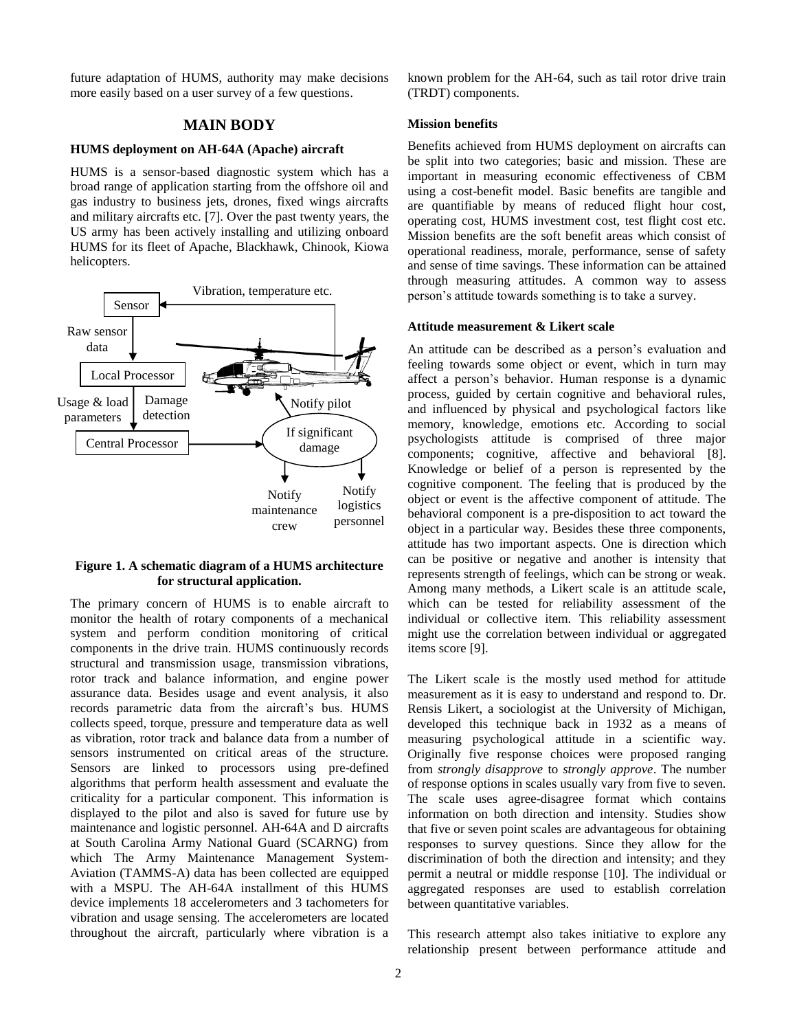future adaptation of HUMS, authority may make decisions more easily based on a user survey of a few questions.

# **MAIN BODY**

## **HUMS deployment on AH-64A (Apache) aircraft**

HUMS is a sensor-based diagnostic system which has a broad range of application starting from the offshore oil and gas industry to business jets, drones, fixed wings aircrafts and military aircrafts etc. [7]. Over the past twenty years, the US army has been actively installing and utilizing onboard HUMS for its fleet of Apache, Blackhawk, Chinook, Kiowa helicopters.



#### **Figure 1. A schematic diagram of a HUMS architecture for structural application.**

The primary concern of HUMS is to enable aircraft to monitor the health of rotary components of a mechanical system and perform condition monitoring of critical components in the drive train. HUMS continuously records structural and transmission usage, transmission vibrations, rotor track and balance information, and engine power assurance data. Besides usage and event analysis, it also records parametric data from the aircraft's bus. HUMS collects speed, torque, pressure and temperature data as well as vibration, rotor track and balance data from a number of sensors instrumented on critical areas of the structure. Sensors are linked to processors using pre-defined algorithms that perform health assessment and evaluate the criticality for a particular component. This information is displayed to the pilot and also is saved for future use by maintenance and logistic personnel. AH-64A and D aircrafts at South Carolina Army National Guard (SCARNG) from which The Army Maintenance Management System-Aviation (TAMMS-A) data has been collected are equipped with a MSPU. The AH-64A installment of this HUMS device implements 18 accelerometers and 3 tachometers for vibration and usage sensing. The accelerometers are located throughout the aircraft, particularly where vibration is a known problem for the AH-64, such as tail rotor drive train (TRDT) components.

#### **Mission benefits**

Benefits achieved from HUMS deployment on aircrafts can be split into two categories; basic and mission. These are important in measuring economic effectiveness of CBM using a cost-benefit model. Basic benefits are tangible and are quantifiable by means of reduced flight hour cost, operating cost, HUMS investment cost, test flight cost etc. Mission benefits are the soft benefit areas which consist of operational readiness, morale, performance, sense of safety and sense of time savings. These information can be attained through measuring attitudes. A common way to assess person's attitude towards something is to take a survey.

#### **Attitude measurement & Likert scale**

An attitude can be described as a person's evaluation and feeling towards some object or event, which in turn may affect a person's behavior. Human response is a dynamic process, guided by certain cognitive and behavioral rules, and influenced by physical and psychological factors like memory, knowledge, emotions etc. According to social psychologists attitude is comprised of three major components; cognitive, affective and behavioral [8]. Knowledge or belief of a person is represented by the cognitive component. The feeling that is produced by the object or event is the affective component of attitude. The behavioral component is a pre-disposition to act toward the object in a particular way. Besides these three components, attitude has two important aspects. One is direction which can be positive or negative and another is intensity that represents strength of feelings, which can be strong or weak. Among many methods, a Likert scale is an attitude scale, which can be tested for reliability assessment of the individual or collective item. This reliability assessment might use the correlation between individual or aggregated items score [9].

The Likert scale is the mostly used method for attitude measurement as it is easy to understand and respond to. Dr. Rensis Likert, a sociologist at the University of Michigan, developed this technique back in 1932 as a means of measuring psychological attitude in a scientific way. Originally five response choices were proposed ranging from *strongly disapprove* to *strongly approve*. The number of response options in scales usually vary from five to seven. The scale uses agree-disagree format which contains information on both direction and intensity. Studies show that five or seven point scales are advantageous for obtaining responses to survey questions. Since they allow for the discrimination of both the direction and intensity; and they permit a neutral or middle response [10]. The individual or aggregated responses are used to establish correlation between quantitative variables.

This research attempt also takes initiative to explore any relationship present between performance attitude and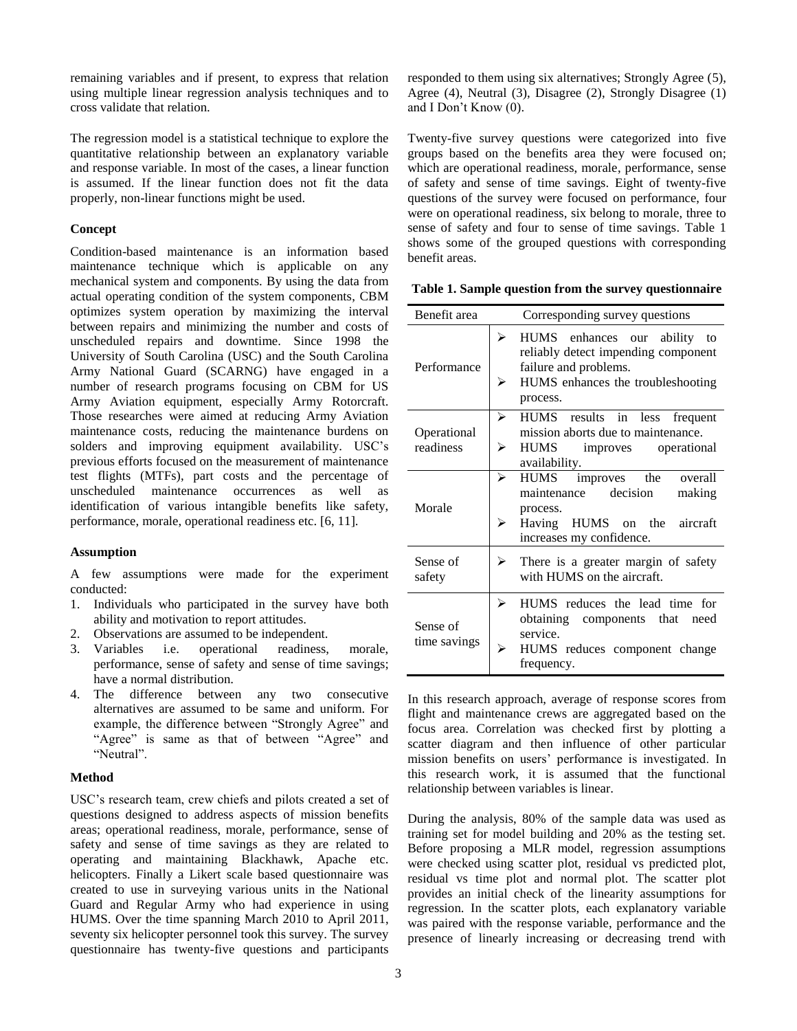remaining variables and if present, to express that relation using multiple linear regression analysis techniques and to cross validate that relation.

The regression model is a statistical technique to explore the quantitative relationship between an explanatory variable and response variable. In most of the cases, a linear function is assumed. If the linear function does not fit the data properly, non-linear functions might be used.

## **Concept**

Condition-based maintenance is an information based maintenance technique which is applicable on any mechanical system and components. By using the data from actual operating condition of the system components, CBM optimizes system operation by maximizing the interval between repairs and minimizing the number and costs of unscheduled repairs and downtime. Since 1998 the University of South Carolina (USC) and the South Carolina Army National Guard (SCARNG) have engaged in a number of research programs focusing on CBM for US Army Aviation equipment, especially Army Rotorcraft. Those researches were aimed at reducing Army Aviation maintenance costs, reducing the maintenance burdens on solders and improving equipment availability. USC's previous efforts focused on the measurement of maintenance test flights (MTFs), part costs and the percentage of unscheduled maintenance occurrences as well as identification of various intangible benefits like safety, performance, morale, operational readiness etc. [6, 11].

#### **Assumption**

A few assumptions were made for the experiment conducted:

- 1. Individuals who participated in the survey have both ability and motivation to report attitudes.
- 2. Observations are assumed to be independent.
- 3. Variables i.e. operational readiness, morale, performance, sense of safety and sense of time savings; have a normal distribution.
- 4. The difference between any two consecutive alternatives are assumed to be same and uniform. For example, the difference between "Strongly Agree" and "Agree" is same as that of between "Agree" and "Neutral".

#### **Method**

USC's research team, crew chiefs and pilots created a set of questions designed to address aspects of mission benefits areas; operational readiness, morale, performance, sense of safety and sense of time savings as they are related to operating and maintaining Blackhawk, Apache etc. helicopters. Finally a Likert scale based questionnaire was created to use in surveying various units in the National Guard and Regular Army who had experience in using HUMS. Over the time spanning March 2010 to April 2011, seventy six helicopter personnel took this survey. The survey questionnaire has twenty-five questions and participants

responded to them using six alternatives; Strongly Agree (5), Agree (4), Neutral (3), Disagree (2), Strongly Disagree (1) and I Don't Know (0).

Twenty-five survey questions were categorized into five groups based on the benefits area they were focused on; which are operational readiness, morale, performance, sense of safety and sense of time savings. Eight of twenty-five questions of the survey were focused on performance, four were on operational readiness, six belong to morale, three to sense of safety and four to sense of time savings. Table 1 shows some of the grouped questions with corresponding benefit areas.

| Table 1. Sample question from the survey questionnaire |  |  |
|--------------------------------------------------------|--|--|
|                                                        |  |  |

| Benefit area             | Corresponding survey questions                                                                                                                               |  |  |
|--------------------------|--------------------------------------------------------------------------------------------------------------------------------------------------------------|--|--|
| Performance              | HUMS enhances our ability<br>≻<br>to<br>reliably detect impending component<br>failure and problems.<br>HUMS enhances the troubleshooting<br>⋗<br>process.   |  |  |
| Operational<br>readiness | $\blacktriangleright$<br>HUMS results in less<br>frequent<br>mission aborts due to maintenance.<br>HUMS improves operational<br>➤<br>availability.           |  |  |
| Morale                   | ≻<br>HUMS improves the overall<br>maintenance decision<br>making<br>process.<br>↘<br>Having HUMS on the aircraft<br>increases my confidence.                 |  |  |
| Sense of<br>safety       | There is a greater margin of safety<br>≻<br>with HUMS on the aircraft.                                                                                       |  |  |
| Sense of<br>time savings | ➤<br>HUMS reduces the lead time for<br>obtaining components that<br>need<br>service.<br>$\blacktriangleright$<br>HUMS reduces component change<br>frequency. |  |  |

In this research approach, average of response scores from flight and maintenance crews are aggregated based on the focus area. Correlation was checked first by plotting a scatter diagram and then influence of other particular mission benefits on users' performance is investigated. In this research work, it is assumed that the functional relationship between variables is linear.

During the analysis, 80% of the sample data was used as training set for model building and 20% as the testing set. Before proposing a MLR model, regression assumptions were checked using scatter plot, residual vs predicted plot, residual vs time plot and normal plot. The scatter plot provides an initial check of the linearity assumptions for regression. In the scatter plots, each explanatory variable was paired with the response variable, performance and the presence of linearly increasing or decreasing trend with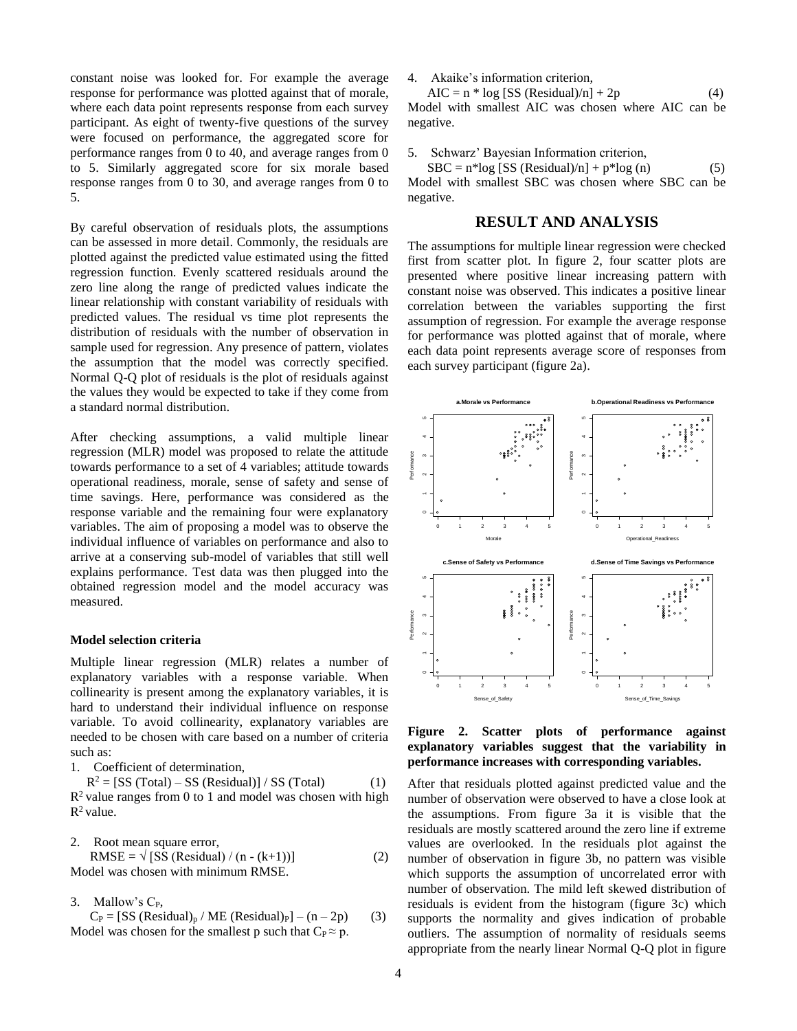constant noise was looked for. For example the average response for performance was plotted against that of morale, where each data point represents response from each survey participant. As eight of twenty-five questions of the survey were focused on performance, the aggregated score for performance ranges from 0 to 40, and average ranges from 0 to 5. Similarly aggregated score for six morale based response ranges from 0 to 30, and average ranges from 0 to 5.

By careful observation of residuals plots, the assumptions can be assessed in more detail. Commonly, the residuals are plotted against the predicted value estimated using the fitted regression function. Evenly scattered residuals around the zero line along the range of predicted values indicate the linear relationship with constant variability of residuals with predicted values. The residual vs time plot represents the distribution of residuals with the number of observation in sample used for regression. Any presence of pattern, violates the assumption that the model was correctly specified. Normal Q-Q plot of residuals is the plot of residuals against the values they would be expected to take if they come from a standard normal distribution.

After checking assumptions, a valid multiple linear regression (MLR) model was proposed to relate the attitude towards performance to a set of 4 variables; attitude towards operational readiness, morale, sense of safety and sense of time savings. Here, performance was considered as the response variable and the remaining four were explanatory variables. The aim of proposing a model was to observe the individual influence of variables on performance and also to arrive at a conserving sub-model of variables that still well explains performance. Test data was then plugged into the obtained regression model and the model accuracy was measured.

#### **Model selection criteria**

Multiple linear regression (MLR) relates a number of explanatory variables with a response variable. When collinearity is present among the explanatory variables, it is hard to understand their individual influence on response variable. To avoid collinearity, explanatory variables are needed to be chosen with care based on a number of criteria such as:

1. Coefficient of determination,

 $R^2 = [SS (Total) - SS (Residual)] / SS (Total)$  (1)  $R<sup>2</sup>$  value ranges from 0 to 1 and model was chosen with high  $R^2$  value.

- 2. Root mean square error,  $RMSE = \sqrt{[SS (Residual) / (n - (k+1))]}$  (2) Model was chosen with minimum RMSE.
- 3. Mallow's  $C_P$ ,
- $C_P = [SS (Residual)_p / ME (Residual)_P] (n-2p)$  (3) Model was chosen for the smallest p such that  $C_P \approx p$ .

4. Akaike's information criterion,

 $AIC = n * log [SS (Residual)/n] + 2p$  (4) Model with smallest AIC was chosen where AIC can be negative.

5. Schwarz' Bayesian Information criterion,

 $SBC = n^*log [SS (Residual)/n] + p^*log (n)$  (5) Model with smallest SBC was chosen where SBC can be negative.

## **RESULT AND ANALYSIS**

The assumptions for multiple linear regression were checked first from scatter plot. In figure 2, four scatter plots are presented where positive linear increasing pattern with constant noise was observed. This indicates a positive linear correlation between the variables supporting the first assumption of regression. For example the average response for performance was plotted against that of morale, where each data point represents average score of responses from each survey participant (figure 2a).



**Figure 2. Scatter plots of performance against explanatory variables suggest that the variability in performance increases with corresponding variables.**

After that residuals plotted against predicted value and the number of observation were observed to have a close look at the assumptions. From figure 3a it is visible that the residuals are mostly scattered around the zero line if extreme values are overlooked. In the residuals plot against the number of observation in figure 3b, no pattern was visible which supports the assumption of uncorrelated error with number of observation. The mild left skewed distribution of residuals is evident from the histogram (figure 3c) which supports the normality and gives indication of probable outliers. The assumption of normality of residuals seems appropriate from the nearly linear Normal Q-Q plot in figure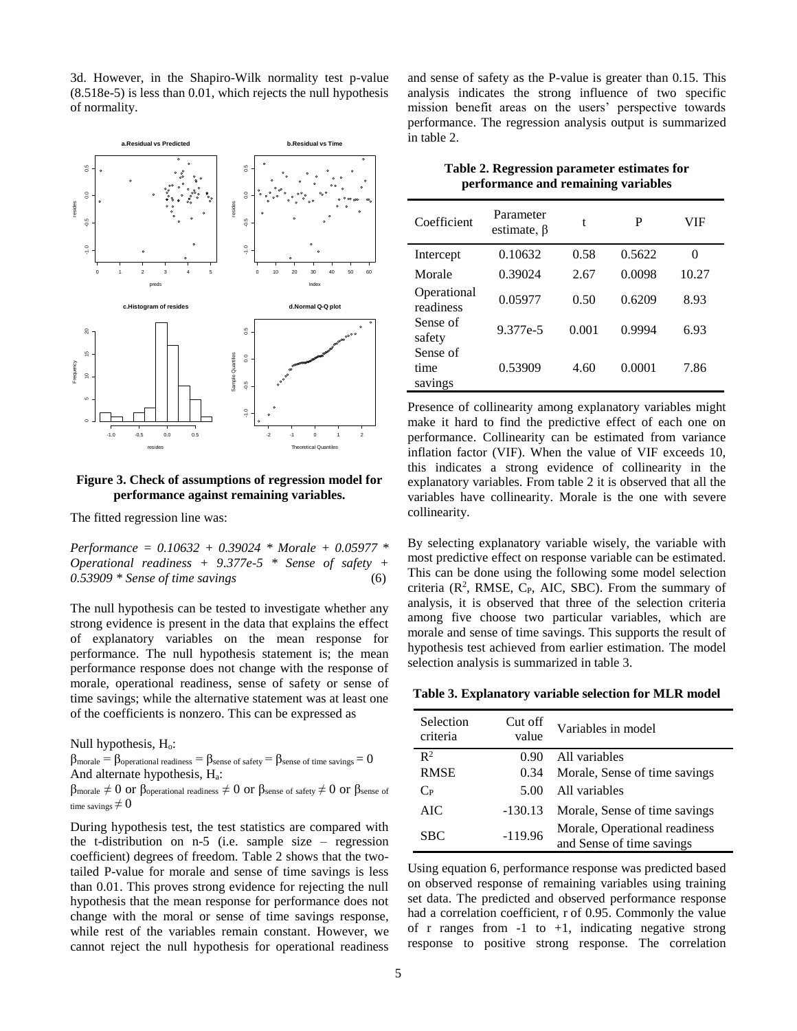3d. However, in the Shapiro-Wilk normality test p-value (8.518e-5) is less than 0.01, which rejects the null hypothesis of normality.



**Figure 3. Check of assumptions of regression model for performance against remaining variables.**

The fitted regression line was:

*Performance = 0.10632 + 0.39024 \* Morale + 0.05977 \* Operational readiness + 9.377e-5 \* Sense of safety + 0.53909 \* Sense of time savings* (6)

The null hypothesis can be tested to investigate whether any strong evidence is present in the data that explains the effect of explanatory variables on the mean response for performance. The null hypothesis statement is; the mean performance response does not change with the response of morale, operational readiness, sense of safety or sense of time savings; while the alternative statement was at least one of the coefficients is nonzero. This can be expressed as

Null hypothesis,  $H_0$ :

$$
\beta_{\text{morale}} = \beta_{\text{operational readings}} = \beta_{\text{sense of safety}} = \beta_{\text{sense of time savings}} = 0
$$
  
And alternate hypothesis, H<sub>a</sub>:

 $\beta$ morale  $\neq 0$  or  $\beta$ operational readiness  $\neq 0$  or  $\beta$ sense of safety  $\neq 0$  or  $\beta$ sense of time savings  $\neq 0$ 

During hypothesis test, the test statistics are compared with the t-distribution on n-5 (i.e. sample size – regression coefficient) degrees of freedom. Table 2 shows that the twotailed P-value for morale and sense of time savings is less than 0.01. This proves strong evidence for rejecting the null hypothesis that the mean response for performance does not change with the moral or sense of time savings response, while rest of the variables remain constant. However, we cannot reject the null hypothesis for operational readiness and sense of safety as the P-value is greater than 0.15. This analysis indicates the strong influence of two specific mission benefit areas on the users' perspective towards performance. The regression analysis output is summarized in table 2.

> **Table 2. Regression parameter estimates for performance and remaining variables**

| Coefficient                 | Parameter<br>estimate, $\beta$ | t     | P      | VIF   |
|-----------------------------|--------------------------------|-------|--------|-------|
| Intercept                   | 0.10632                        | 0.58  | 0.5622 | 0     |
| Morale                      | 0.39024                        | 2.67  | 0.0098 | 10.27 |
| Operational<br>readiness    | 0.05977                        | 0.50  | 0.6209 | 8.93  |
| Sense of<br>safety          | 9.377e-5                       | 0.001 | 0.9994 | 6.93  |
| Sense of<br>time<br>savings | 0.53909                        | 4.60  | 0.0001 | 7.86  |

Presence of collinearity among explanatory variables might make it hard to find the predictive effect of each one on performance. Collinearity can be estimated from variance inflation factor (VIF). When the value of VIF exceeds 10, this indicates a strong evidence of collinearity in the explanatory variables. From table 2 it is observed that all the variables have collinearity. Morale is the one with severe collinearity.

By selecting explanatory variable wisely, the variable with most predictive effect on response variable can be estimated. This can be done using the following some model selection criteria  $(R^2, RMSE, C_P, AIC, SBC)$ . From the summary of analysis, it is observed that three of the selection criteria among five choose two particular variables, which are morale and sense of time savings. This supports the result of hypothesis test achieved from earlier estimation. The model selection analysis is summarized in table 3.

**Table 3. Explanatory variable selection for MLR model** 

| Selection<br>criteria | Cut off<br>value | Variables in model                                         |
|-----------------------|------------------|------------------------------------------------------------|
| $\mathbb{R}^2$        | 0.90             | All variables                                              |
| <b>RMSE</b>           | 0.34             | Morale, Sense of time savings                              |
| $C_{P}$               | 5.00             | All variables                                              |
| AIC                   | $-130.13$        | Morale, Sense of time savings                              |
| <b>SBC</b>            | $-119.96$        | Morale, Operational readiness<br>and Sense of time savings |

Using equation 6, performance response was predicted based on observed response of remaining variables using training set data. The predicted and observed performance response had a correlation coefficient, r of 0.95. Commonly the value of r ranges from  $-1$  to  $+1$ , indicating negative strong response to positive strong response. The correlation